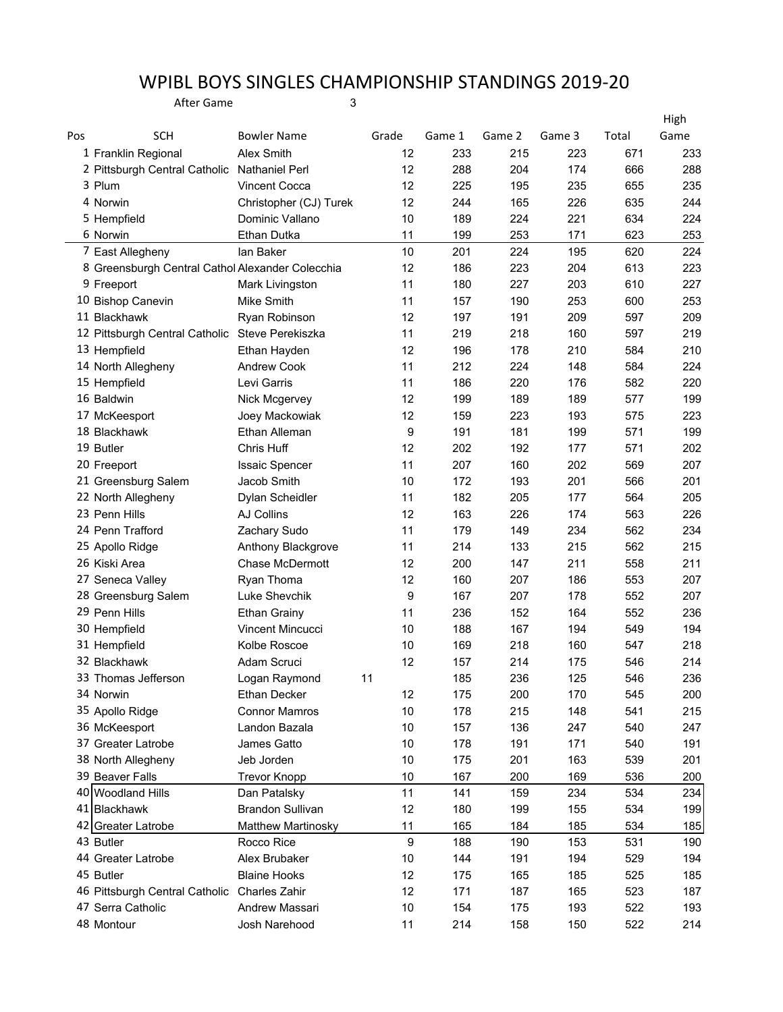## WPIBL BOYS SINGLES CHAMPIONSHIP STANDINGS 2019-20

After Game 3

|     |                                                  |                         |                  |        |        |        |       | High |
|-----|--------------------------------------------------|-------------------------|------------------|--------|--------|--------|-------|------|
| Pos | <b>SCH</b>                                       | <b>Bowler Name</b>      | Grade            | Game 1 | Game 2 | Game 3 | Total | Game |
|     | 1 Franklin Regional                              | Alex Smith              | 12               | 233    | 215    | 223    | 671   | 233  |
|     | 2 Pittsburgh Central Catholic                    | Nathaniel Perl          | 12               | 288    | 204    | 174    | 666   | 288  |
|     | 3 Plum                                           | <b>Vincent Cocca</b>    | 12               | 225    | 195    | 235    | 655   | 235  |
|     | 4 Norwin                                         | Christopher (CJ) Turek  | 12               | 244    | 165    | 226    | 635   | 244  |
|     | 5 Hempfield                                      | Dominic Vallano         | 10               | 189    | 224    | 221    | 634   | 224  |
|     | 6 Norwin                                         | Ethan Dutka             | 11               | 199    | 253    | 171    | 623   | 253  |
|     | 7 East Allegheny                                 | lan Baker               | 10               | 201    | 224    | 195    | 620   | 224  |
|     | 8 Greensburgh Central Cathol Alexander Colecchia |                         | 12               | 186    | 223    | 204    | 613   | 223  |
|     | 9 Freeport                                       | Mark Livingston         | 11               | 180    | 227    | 203    | 610   | 227  |
|     | 10 Bishop Canevin                                | Mike Smith              | 11               | 157    | 190    | 253    | 600   | 253  |
|     | 11 Blackhawk                                     | Ryan Robinson           | 12               | 197    | 191    | 209    | 597   | 209  |
|     | 12 Pittsburgh Central Catholic                   | Steve Perekiszka        | 11               | 219    | 218    | 160    | 597   | 219  |
|     | 13 Hempfield                                     | Ethan Hayden            | 12               | 196    | 178    | 210    | 584   | 210  |
|     | 14 North Allegheny                               | <b>Andrew Cook</b>      | 11               | 212    | 224    | 148    | 584   | 224  |
|     | 15 Hempfield                                     | Levi Garris             | 11               | 186    | 220    | 176    | 582   | 220  |
|     | 16 Baldwin                                       | Nick Mcgervey           | 12               | 199    | 189    | 189    | 577   | 199  |
|     | 17 McKeesport                                    | Joey Mackowiak          | 12               | 159    | 223    | 193    | 575   | 223  |
|     | 18 Blackhawk                                     | Ethan Alleman           | 9                | 191    | 181    | 199    | 571   | 199  |
|     | 19 Butler                                        | Chris Huff              | 12               | 202    | 192    | 177    | 571   | 202  |
|     | 20 Freeport                                      | <b>Issaic Spencer</b>   | 11               | 207    | 160    | 202    | 569   | 207  |
|     | 21 Greensburg Salem                              | Jacob Smith             | 10               | 172    | 193    | 201    | 566   | 201  |
|     | 22 North Allegheny                               | Dylan Scheidler         | 11               | 182    | 205    | 177    | 564   | 205  |
|     | 23 Penn Hills                                    | AJ Collins              | 12               | 163    | 226    | 174    | 563   | 226  |
|     | 24 Penn Trafford                                 | Zachary Sudo            | 11               | 179    | 149    | 234    | 562   | 234  |
|     | 25 Apollo Ridge                                  | Anthony Blackgrove      | 11               | 214    | 133    | 215    | 562   | 215  |
|     | 26 Kiski Area                                    | Chase McDermott         | 12               | 200    | 147    | 211    | 558   | 211  |
|     | 27 Seneca Valley                                 | Ryan Thoma              | 12               | 160    | 207    | 186    | 553   | 207  |
|     | 28 Greensburg Salem                              | Luke Shevchik           | 9                | 167    | 207    | 178    | 552   | 207  |
|     | 29 Penn Hills                                    | <b>Ethan Grainy</b>     | 11               | 236    | 152    | 164    | 552   | 236  |
|     | 30 Hempfield                                     | Vincent Mincucci        | 10               | 188    | 167    | 194    | 549   | 194  |
|     | 31 Hempfield                                     | Kolbe Roscoe            | 10               | 169    | 218    | 160    | 547   | 218  |
|     | 32 Blackhawk                                     | Adam Scruci             | 12               | 157    | 214    | 175    | 546   | 214  |
|     | 33 Thomas Jefferson                              | Logan Raymond           | 11               | 185    | 236    | 125    | 546   | 236  |
|     | 34 Norwin                                        | Ethan Decker            | 12               | 175    | 200    | 170    | 545   | 200  |
|     | 35 Apollo Ridge                                  | <b>Connor Mamros</b>    | 10               | 178    | 215    | 148    | 541   | 215  |
|     | 36 McKeesport                                    | Landon Bazala           | 10               | 157    | 136    | 247    | 540   | 247  |
|     | 37 Greater Latrobe                               | James Gatto             | 10               | 178    | 191    | 171    | 540   | 191  |
|     | 38 North Allegheny                               | Jeb Jorden              | 10               | 175    | 201    | 163    | 539   | 201  |
|     | 39 Beaver Falls                                  | <b>Trevor Knopp</b>     | 10               | 167    | 200    | 169    | 536   | 200  |
|     | 40 Woodland Hills                                | Dan Patalsky            | 11               | 141    | 159    | 234    | 534   | 234  |
|     | 41 Blackhawk                                     | <b>Brandon Sullivan</b> | 12               | 180    | 199    | 155    | 534   | 199  |
|     | 42 Greater Latrobe                               | Matthew Martinosky      | 11               | 165    | 184    | 185    | 534   | 185  |
|     | 43 Butler                                        | Rocco Rice              | $\boldsymbol{9}$ | 188    | 190    | 153    | 531   | 190  |
|     | 44 Greater Latrobe                               | Alex Brubaker           | 10               | 144    | 191    | 194    | 529   | 194  |
|     | 45 Butler                                        | <b>Blaine Hooks</b>     | 12               | 175    | 165    | 185    | 525   | 185  |
|     | 46 Pittsburgh Central Catholic                   | Charles Zahir           | 12               | 171    | 187    | 165    | 523   | 187  |
|     | 47 Serra Catholic                                | Andrew Massari          | 10               | 154    | 175    | 193    | 522   | 193  |
|     | 48 Montour                                       | Josh Narehood           | 11               | 214    | 158    | 150    | 522   | 214  |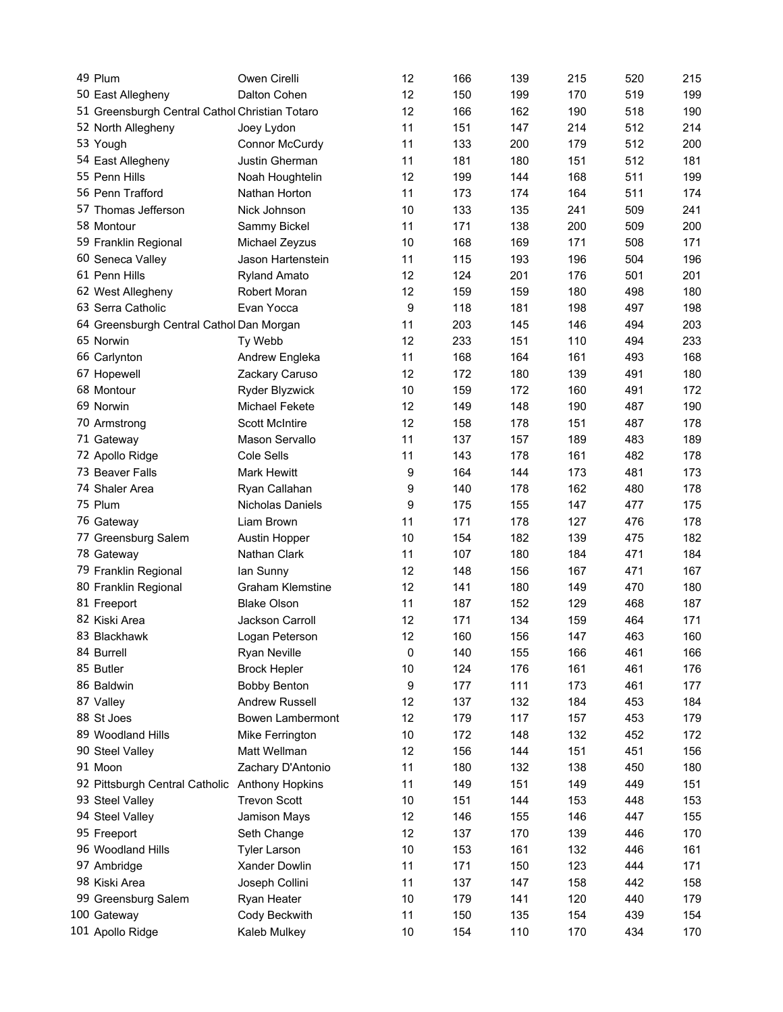| 49 Plum                                        | Owen Cirelli            | 12   | 166 | 139 | 215 | 520 | 215 |
|------------------------------------------------|-------------------------|------|-----|-----|-----|-----|-----|
| 50 East Allegheny                              | Dalton Cohen            | 12   | 150 | 199 | 170 | 519 | 199 |
| 51 Greensburgh Central Cathol Christian Totaro |                         | 12   | 166 | 162 | 190 | 518 | 190 |
| 52 North Allegheny                             | Joey Lydon              | 11   | 151 | 147 | 214 | 512 | 214 |
| 53 Yough                                       | Connor McCurdy          | 11   | 133 | 200 | 179 | 512 | 200 |
| 54 East Allegheny                              | Justin Gherman          | 11   | 181 | 180 | 151 | 512 | 181 |
| 55 Penn Hills                                  | Noah Houghtelin         | 12   | 199 | 144 | 168 | 511 | 199 |
| 56 Penn Trafford                               | Nathan Horton           | 11   | 173 | 174 | 164 | 511 | 174 |
| 57 Thomas Jefferson                            | Nick Johnson            | 10   | 133 | 135 | 241 | 509 | 241 |
| 58 Montour                                     | Sammy Bickel            | 11   | 171 | 138 | 200 | 509 | 200 |
| 59 Franklin Regional                           | Michael Zeyzus          | 10   | 168 | 169 | 171 | 508 | 171 |
| 60 Seneca Valley                               | Jason Hartenstein       | 11   | 115 | 193 | 196 | 504 | 196 |
| 61 Penn Hills                                  | <b>Ryland Amato</b>     | 12   | 124 | 201 | 176 | 501 | 201 |
| 62 West Allegheny                              | Robert Moran            | 12   | 159 | 159 | 180 | 498 | 180 |
| 63 Serra Catholic                              | Evan Yocca              | 9    | 118 | 181 | 198 | 497 | 198 |
| 64 Greensburgh Central Cathol Dan Morgan       |                         | 11   | 203 | 145 | 146 | 494 | 203 |
| 65 Norwin                                      | Ty Webb                 | 12   | 233 | 151 | 110 | 494 | 233 |
| 66 Carlynton                                   | Andrew Engleka          | 11   | 168 | 164 | 161 | 493 | 168 |
| 67 Hopewell                                    | Zackary Caruso          | 12   | 172 | 180 | 139 | 491 | 180 |
| 68 Montour                                     | Ryder Blyzwick          | 10   | 159 | 172 | 160 | 491 | 172 |
| 69 Norwin                                      | Michael Fekete          | 12   | 149 | 148 | 190 | 487 | 190 |
| 70 Armstrong                                   | <b>Scott McIntire</b>   | 12   | 158 | 178 | 151 | 487 | 178 |
| 71 Gateway                                     | Mason Servallo          | 11   | 137 | 157 | 189 | 483 | 189 |
| 72 Apollo Ridge                                | Cole Sells              | 11   | 143 | 178 | 161 | 482 | 178 |
| 73 Beaver Falls                                | <b>Mark Hewitt</b>      | 9    | 164 | 144 | 173 | 481 | 173 |
| 74 Shaler Area                                 | Ryan Callahan           | 9    | 140 | 178 | 162 | 480 | 178 |
| 75 Plum                                        | <b>Nicholas Daniels</b> | 9    | 175 | 155 | 147 | 477 | 175 |
| 76 Gateway                                     | Liam Brown              | 11   | 171 | 178 | 127 | 476 | 178 |
| 77 Greensburg Salem                            | Austin Hopper           | 10   | 154 | 182 | 139 | 475 | 182 |
| 78 Gateway                                     | Nathan Clark            | 11   | 107 | 180 | 184 | 471 | 184 |
| 79 Franklin Regional                           | lan Sunny               | 12   | 148 | 156 | 167 | 471 | 167 |
|                                                | <b>Graham Klemstine</b> | 12   | 141 | 180 | 149 | 470 | 180 |
| 80 Franklin Regional                           | <b>Blake Olson</b>      | 11   | 187 | 152 |     | 468 | 187 |
| 81 Freeport                                    |                         |      |     |     | 129 |     |     |
| 82 Kiski Area                                  | Jackson Carroll         | 12   | 171 | 134 | 159 | 464 | 171 |
| 83 Blackhawk                                   | Logan Peterson          | 12   | 160 | 156 | 147 | 463 | 160 |
| 84 Burrell                                     | Ryan Neville            | 0    | 140 | 155 | 166 | 461 | 166 |
| 85 Butler                                      | <b>Brock Hepler</b>     | 10   | 124 | 176 | 161 | 461 | 176 |
| 86 Baldwin                                     | <b>Bobby Benton</b>     | 9    | 177 | 111 | 173 | 461 | 177 |
| 87 Valley                                      | Andrew Russell          | 12   | 137 | 132 | 184 | 453 | 184 |
| 88 St Joes                                     | Bowen Lambermont        | 12   | 179 | 117 | 157 | 453 | 179 |
| 89 Woodland Hills                              | Mike Ferrington         | 10   | 172 | 148 | 132 | 452 | 172 |
| 90 Steel Valley                                | Matt Wellman            | 12   | 156 | 144 | 151 | 451 | 156 |
| 91 Moon                                        | Zachary D'Antonio       | 11   | 180 | 132 | 138 | 450 | 180 |
| 92 Pittsburgh Central Catholic                 | Anthony Hopkins         | 11   | 149 | 151 | 149 | 449 | 151 |
| 93 Steel Valley                                | <b>Trevon Scott</b>     | 10   | 151 | 144 | 153 | 448 | 153 |
| 94 Steel Valley                                | Jamison Mays            | 12   | 146 | 155 | 146 | 447 | 155 |
| 95 Freeport                                    | Seth Change             | 12   | 137 | 170 | 139 | 446 | 170 |
| 96 Woodland Hills                              | <b>Tyler Larson</b>     | 10   | 153 | 161 | 132 | 446 | 161 |
| 97 Ambridge                                    | Xander Dowlin           | 11   | 171 | 150 | 123 | 444 | 171 |
| 98 Kiski Area                                  | Joseph Collini          | 11   | 137 | 147 | 158 | 442 | 158 |
| 99 Greensburg Salem                            | Ryan Heater             | 10   | 179 | 141 | 120 | 440 | 179 |
| 100 Gateway                                    | Cody Beckwith           | 11   | 150 | 135 | 154 | 439 | 154 |
| 101 Apollo Ridge                               | Kaleb Mulkey            | $10$ | 154 | 110 | 170 | 434 | 170 |